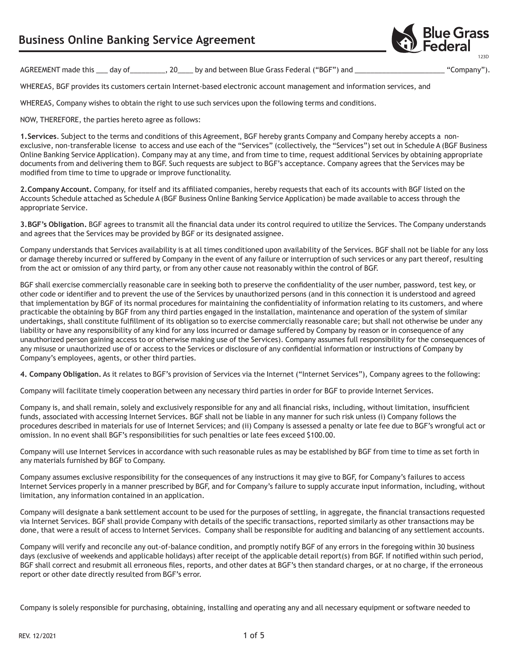

AGREEMENT made this day of \_\_\_\_\_\_\_, 20 by and between Blue Grass Federal ("BGF") and \_\_\_\_\_\_\_\_\_\_\_\_\_\_\_\_\_\_\_ "Company").

WHEREAS, BGF provides its customers certain Internet-based electronic account management and information services, and

WHEREAS, Company wishes to obtain the right to use such services upon the following terms and conditions.

NOW, THEREFORE, the parties hereto agree as follows:

**1.Services**. Subject to the terms and conditions of this Agreement, BGF hereby grants Company and Company hereby accepts a nonexclusive, non-transferable license to access and use each of the "Services" (collectively, the "Services") set out in Schedule A (BGF Business Online Banking Service Application). Company may at any time, and from time to time, request additional Services by obtaining appropriate documents from and delivering them to BGF. Such requests are subject to BGF's acceptance. Company agrees that the Services may be modified from time to time to upgrade or improve functionality.

**2.Company Account.** Company, for itself and its affiliated companies, hereby requests that each of its accounts with BGF listed on the Accounts Schedule attached as Schedule A (BGF Business Online Banking Service Application) be made available to access through the appropriate Service.

**3.BGF's Obligation.** BGF agrees to transmit all the financial data under its control required to utilize the Services. The Company understands and agrees that the Services may be provided by BGF or its designated assignee.

Company understands that Services availability is at all times conditioned upon availability of the Services. BGF shall not be liable for any loss or damage thereby incurred or suffered by Company in the event of any failure or interruption of such services or any part thereof, resulting from the act or omission of any third party, or from any other cause not reasonably within the control of BGF.

BGF shall exercise commercially reasonable care in seeking both to preserve the confidentiality of the user number, password, test key, or other code or identifier and to prevent the use of the Services by unauthorized persons (and in this connection it is understood and agreed that implementation by BGF of its normal procedures for maintaining the confidentiality of information relating to its customers, and where practicable the obtaining by BGF from any third parties engaged in the installation, maintenance and operation of the system of similar undertakings, shall constitute fulfillment of its obligation so to exercise commercially reasonable care; but shall not otherwise be under any liability or have any responsibility of any kind for any loss incurred or damage suffered by Company by reason or in consequence of any unauthorized person gaining access to or otherwise making use of the Services). Company assumes full responsibility for the consequences of any misuse or unauthorized use of or access to the Services or disclosure of any confidential information or instructions of Company by Company's employees, agents, or other third parties.

**4. Company Obligation.** As it relates to BGF's provision of Services via the Internet ("Internet Services"), Company agrees to the following:

Company will facilitate timely cooperation between any necessary third parties in order for BGF to provide Internet Services.

Company is, and shall remain, solely and exclusively responsible for any and all financial risks, including, without limitation, insufficient funds, associated with accessing Internet Services. BGF shall not be liable in any manner for such risk unless (i) Company follows the procedures described in materials for use of Internet Services; and (ii) Company is assessed a penalty or late fee due to BGF's wrongful act or omission. In no event shall BGF's responsibilities for such penalties or late fees exceed \$100.00.

Company will use Internet Services in accordance with such reasonable rules as may be established by BGF from time to time as set forth in any materials furnished by BGF to Company.

Company assumes exclusive responsibility for the consequences of any instructions it may give to BGF, for Company's failures to access Internet Services properly in a manner prescribed by BGF, and for Company's failure to supply accurate input information, including, without limitation, any information contained in an application.

Company will designate a bank settlement account to be used for the purposes of settling, in aggregate, the financial transactions requested via Internet Services. BGF shall provide Company with details of the specific transactions, reported similarly as other transactions may be done, that were a result of access to Internet Services. Company shall be responsible for auditing and balancing of any settlement accounts.

Company will verify and reconcile any out-of-balance condition, and promptly notify BGF of any errors in the foregoing within 30 business days (exclusive of weekends and applicable holidays) after receipt of the applicable detail report(s) from BGF. If notified within such period, BGF shall correct and resubmit all erroneous files, reports, and other dates at BGF's then standard charges, or at no charge, if the erroneous report or other date directly resulted from BGF's error.

Company is solely responsible for purchasing, obtaining, installing and operating any and all necessary equipment or software needed to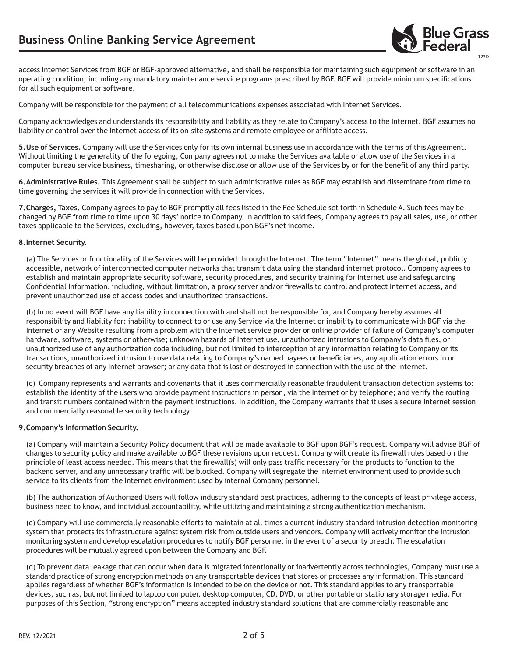

access Internet Services from BGF or BGF-approved alternative, and shall be responsible for maintaining such equipment or software in an operating condition, including any mandatory maintenance service programs prescribed by BGF. BGF will provide minimum specifications for all such equipment or software.

Company will be responsible for the payment of all telecommunications expenses associated with Internet Services.

Company acknowledges and understands its responsibility and liability as they relate to Company's access to the Internet. BGF assumes no liability or control over the Internet access of its on-site systems and remote employee or affiliate access.

**5.Use of Services.** Company will use the Services only for its own internal business use in accordance with the terms of this Agreement. Without limiting the generality of the foregoing, Company agrees not to make the Services available or allow use of the Services in a computer bureau service business, timesharing, or otherwise disclose or allow use of the Services by or for the benefit of any third party.

**6.Administrative Rules.** This Agreement shall be subject to such administrative rules as BGF may establish and disseminate from time to time governing the services it will provide in connection with the Services.

**7.Charges, Taxes.** Company agrees to pay to BGF promptly all fees listed in the Fee Schedule set forth in Schedule A. Such fees may be changed by BGF from time to time upon 30 days' notice to Company. In addition to said fees, Company agrees to pay all sales, use, or other taxes applicable to the Services, excluding, however, taxes based upon BGF's net income.

## **8.Internet Security.**

 (a) The Services or functionality of the Services will be provided through the Internet. The term "Internet" means the global, publicly accessible, network of interconnected computer networks that transmit data using the standard internet protocol. Company agrees to establish and maintain appropriate security software, security procedures, and security training for Internet use and safeguarding Confidential Information, including, without limitation, a proxy server and/or firewalls to control and protect Internet access, and prevent unauthorized use of access codes and unauthorized transactions.

 (b) In no event will BGF have any liability in connection with and shall not be responsible for, and Company hereby assumes all responsibility and liability for: inability to connect to or use any Service via the Internet or inability to communicate with BGF via the Internet or any Website resulting from a problem with the Internet service provider or online provider of failure of Company's computer hardware, software, systems or otherwise; unknown hazards of Internet use, unauthorized intrusions to Company's data files, or unauthorized use of any authorization code including, but not limited to interception of any information relating to Company or its transactions, unauthorized intrusion to use data relating to Company's named payees or beneficiaries, any application errors in or security breaches of any Internet browser; or any data that is lost or destroyed in connection with the use of the Internet.

 (c) Company represents and warrants and covenants that it uses commercially reasonable fraudulent transaction detection systems to: establish the identity of the users who provide payment instructions in person, via the Internet or by telephone; and verify the routing and transit numbers contained within the payment instructions. In addition, the Company warrants that it uses a secure Internet session and commercially reasonable security technology.

## **9.Company's Information Security.**

 (a) Company will maintain a Security Policy document that will be made available to BGF upon BGF's request. Company will advise BGF of changes to security policy and make available to BGF these revisions upon request. Company will create its firewall rules based on the principle of least access needed. This means that the firewall(s) will only pass traffic necessary for the products to function to the backend server, and any unnecessary traffic will be blocked. Company will segregate the Internet environment used to provide such service to its clients from the Internet environment used by internal Company personnel.

(b) The authorization of Authorized Users will follow industry standard best practices, adhering to the concepts of least privilege access, business need to know, and individual accountability, while utilizing and maintaining a strong authentication mechanism.

 (c) Company will use commercially reasonable efforts to maintain at all times a current industry standard intrusion detection monitoring system that protects its infrastructure against system risk from outside users and vendors. Company will actively monitor the intrusion monitoring system and develop escalation procedures to notify BGF personnel in the event of a security breach. The escalation procedures will be mutually agreed upon between the Company and BGF.

 (d) To prevent data leakage that can occur when data is migrated intentionally or inadvertently across technologies, Company must use a standard practice of strong encryption methods on any transportable devices that stores or processes any information. This standard applies regardless of whether BGF's information is intended to be on the device or not. This standard applies to any transportable devices, such as, but not limited to laptop computer, desktop computer, CD, DVD, or other portable or stationary storage media. For purposes of this Section, "strong encryption" means accepted industry standard solutions that are commercially reasonable and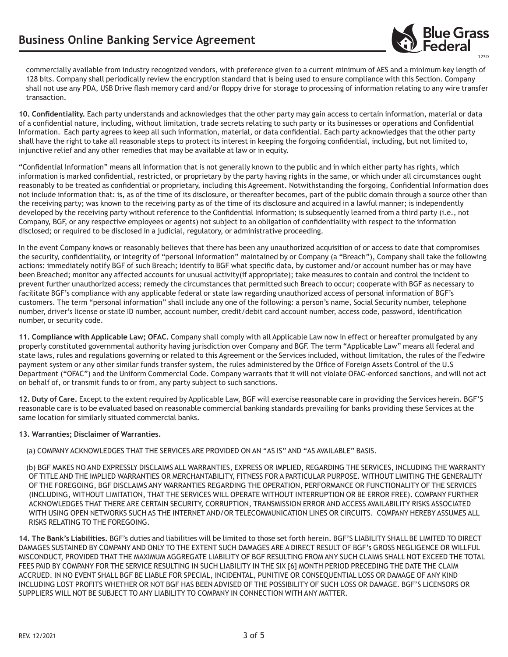

commercially available from industry recognized vendors, with preference given to a current minimum of AES and a minimum key length of 128 bits. Company shall periodically review the encryption standard that is being used to ensure compliance with this Section. Company shall not use any PDA, USB Drive flash memory card and/or floppy drive for storage to processing of information relating to any wire transfer transaction.

**10. Confidentiality.** Each party understands and acknowledges that the other party may gain access to certain information, material or data of a confidential nature, including, without limitation, trade secrets relating to such party or its businesses or operations and Confidential Information. Each party agrees to keep all such information, material, or data confidential. Each party acknowledges that the other party shall have the right to take all reasonable steps to protect its interest in keeping the forgoing confidential, including, but not limited to, injunctive relief and any other remedies that may be available at law or in equity.

"Confidential Information" means all information that is not generally known to the public and in which either party has rights, which information is marked confidential, restricted, or proprietary by the party having rights in the same, or which under all circumstances ought reasonably to be treated as confidential or proprietary, including this Agreement. Notwithstanding the forgoing, Confidential Information does not include information that: is, as of the time of its disclosure, or thereafter becomes, part of the public domain through a source other than the receiving party; was known to the receiving party as of the time of its disclosure and acquired in a lawful manner; is independently developed by the receiving party without reference to the Confidential Information; is subsequently learned from a third party (i.e., not Company, BGF, or any respective employees or agents) not subject to an obligation of confidentiality with respect to the information disclosed; or required to be disclosed in a judicial, regulatory, or administrative proceeding.

In the event Company knows or reasonably believes that there has been any unauthorized acquisition of or access to date that compromises the security, confidentiality, or integrity of "personal information" maintained by or Company (a "Breach"), Company shall take the following actions: immediately notify BGF of such Breach; identify to BGF what specific data, by customer and/or account number has or may have been Breached; monitor any affected accounts for unusual activity(if appropriate); take measures to contain and control the incident to prevent further unauthorized access; remedy the circumstances that permitted such Breach to occur; cooperate with BGF as necessary to facilitate BGF's compliance with any applicable federal or state law regarding unauthorized access of personal information of BGF's customers. The term "personal information" shall include any one of the following: a person's name, Social Security number, telephone number, driver's license or state ID number, account number, credit/debit card account number, access code, password, identification number, or security code.

**11. Compliance with Applicable Law; OFAC.** Company shall comply with all Applicable Law now in effect or hereafter promulgated by any properly constituted governmental authority having jurisdiction over Company and BGF. The term "Applicable Law" means all federal and state laws, rules and regulations governing or related to this Agreement or the Services included, without limitation, the rules of the Fedwire payment system or any other similar funds transfer system, the rules administered by the Office of Foreign Assets Control of the U.S Department ("OFAC") and the Uniform Commercial Code. Company warrants that it will not violate OFAC-enforced sanctions, and will not act on behalf of, or transmit funds to or from, any party subject to such sanctions.

**12. Duty of Care.** Except to the extent required by Applicable Law, BGF will exercise reasonable care in providing the Services herein. BGF'S reasonable care is to be evaluated based on reasonable commercial banking standards prevailing for banks providing these Services at the same location for similarly situated commercial banks.

## **13. Warranties; Disclaimer of Warranties.**

(a) COMPANY ACKNOWLEDGES THAT THE SERVICES ARE PROVIDED ON AN "AS IS" AND "AS AVAILABLE" BASIS.

(b) BGF MAKES NO AND EXPRESSLY DISCLAIMS ALL WARRANTIES, EXPRESS OR IMPLIED, REGARDING THE SERVICES, INCLUDING THE WARRANTY OF TITLE AND THE IMPLIED WARRANTIES OR MERCHANTABILITY, FITNESS FOR A PARTICULAR PURPOSE. WITHOUT LIMITING THE GENERALITY OF THE FOREGOING, BGF DISCLAIMS ANY WARRANTIES REGARDING THE OPERATION, PERFORMANCE OR FUNCTIONALITY OF THE SERVICES (INCLUDING, WITHOUT LIMITATION, THAT THE SERVICES WILL OPERATE WITHOUT INTERRUPTION OR BE ERROR FREE). COMPANY FURTHER ACKNOWLEDGES THAT THERE ARE CERTAIN SECURITY, CORRUPTION, TRANSMISSION ERROR AND ACCESS AVAILABILITY RISKS ASSOCIATED WITH USING OPEN NETWORKS SUCH AS THE INTERNET AND/OR TELECOMMUNICATION LINES OR CIRCUITS. COMPANY HEREBY ASSUMES ALL RISKS RELATING TO THE FOREGOING.

**14. The Bank's Liabilities.** BGF's duties and liabilities will be limited to those set forth herein. BGF'S LIABILITY SHALL BE LIMITED TO DIRECT DAMAGES SUSTAINED BY COMPANY AND ONLY TO THE EXTENT SUCH DAMAGES ARE A DIRECT RESULT OF BGF's GROSS NEGLIGENCE OR WILLFUL MISCONDUCT, PROVIDED THAT THE MAXIMUM AGGREGATE LIABILITY OF BGF RESULTING FROM ANY SUCH CLAIMS SHALL NOT EXCEED THE TOTAL FEES PAID BY COMPANY FOR THE SERVICE RESULTING IN SUCH LIABILITY IN THE SIX [6] MONTH PERIOD PRECEDING THE DATE THE CLAIM ACCRUED. IN NO EVENT SHALL BGF BE LIABLE FOR SPECIAL, INCIDENTAL, PUNITIVE OR CONSEQUENTIAL LOSS OR DAMAGE OF ANY KIND INCLUDING LOST PROFITS WHETHER OR NOT BGF HAS BEEN ADVISED OF THE POSSIBILITY OF SUCH LOSS OR DAMAGE. BGF'S LICENSORS OR SUPPLIERS WILL NOT BE SUBJECT TO ANY LIABILITY TO COMPANY IN CONNECTION WITH ANY MATTER.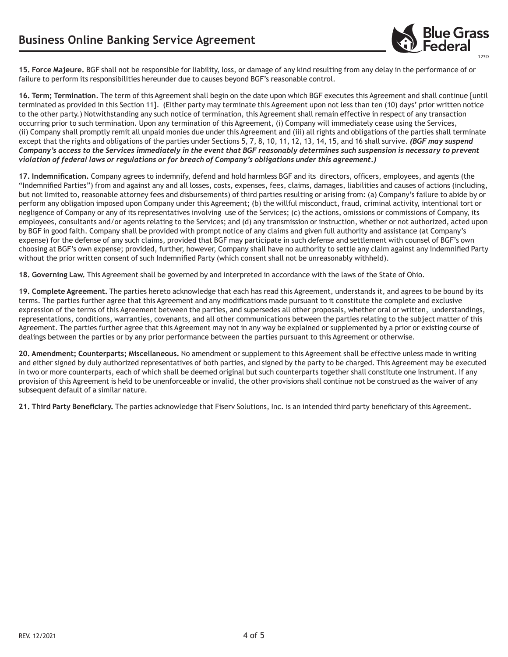

**15. Force Majeure.** BGF shall not be responsible for liability, loss, or damage of any kind resulting from any delay in the performance of or failure to perform its responsibilities hereunder due to causes beyond BGF's reasonable control.

**16. Term; Termination**. The term of this Agreement shall begin on the date upon which BGF executes this Agreement and shall continue [until terminated as provided in this Section 11]. (Either party may terminate this Agreement upon not less than ten (10) days' prior written notice to the other party.) Notwithstanding any such notice of termination, this Agreement shall remain effective in respect of any transaction occurring prior to such termination. Upon any termination of this Agreement, (i) Company will immediately cease using the Services, (ii) Company shall promptly remit all unpaid monies due under this Agreement and (iii) all rights and obligations of the parties shall terminate except that the rights and obligations of the parties under Sections 5, 7, 8, 10, 11, 12, 13, 14, 15, and 16 shall survive. *(BGF may suspend Company's access to the Services immediately in the event that BGF reasonably determines such suspension is necessary to prevent violation of federal laws or regulations or for breach of Company's obligations under this agreement.)* 

**17. Indemnification.** Company agrees to indemnify, defend and hold harmless BGF and its directors, officers, employees, and agents (the "Indemnified Parties") from and against any and all losses, costs, expenses, fees, claims, damages, liabilities and causes of actions (including, but not limited to, reasonable attorney fees and disbursements) of third parties resulting or arising from: (a) Company's failure to abide by or perform any obligation imposed upon Company under this Agreement; (b) the willful misconduct, fraud, criminal activity, intentional tort or negligence of Company or any of its representatives involving use of the Services; (c) the actions, omissions or commissions of Company, its employees, consultants and/or agents relating to the Services; and (d) any transmission or instruction, whether or not authorized, acted upon by BGF in good faith. Company shall be provided with prompt notice of any claims and given full authority and assistance (at Company's expense) for the defense of any such claims, provided that BGF may participate in such defense and settlement with counsel of BGF's own choosing at BGF's own expense; provided, further, however, Company shall have no authority to settle any claim against any Indemnified Party without the prior written consent of such Indemnified Party (which consent shall not be unreasonably withheld).

**18. Governing Law.** This Agreement shall be governed by and interpreted in accordance with the laws of the State of Ohio.

**19. Complete Agreement.** The parties hereto acknowledge that each has read this Agreement, understands it, and agrees to be bound by its terms. The parties further agree that this Agreement and any modifications made pursuant to it constitute the complete and exclusive expression of the terms of this Agreement between the parties, and supersedes all other proposals, whether oral or written, understandings, representations, conditions, warranties, covenants, and all other communications between the parties relating to the subject matter of this Agreement. The parties further agree that this Agreement may not in any way be explained or supplemented by a prior or existing course of dealings between the parties or by any prior performance between the parties pursuant to this Agreement or otherwise.

**20. Amendment; Counterparts; Miscellaneous.** No amendment or supplement to this Agreement shall be effective unless made in writing and either signed by duly authorized representatives of both parties, and signed by the party to be charged. This Agreement may be executed in two or more counterparts, each of which shall be deemed original but such counterparts together shall constitute one instrument. If any provision of this Agreement is held to be unenforceable or invalid, the other provisions shall continue not be construed as the waiver of any subsequent default of a similar nature.

**21. Third Party Beneficiary.** The parties acknowledge that Fiserv Solutions, Inc. is an intended third party beneficiary of this Agreement.